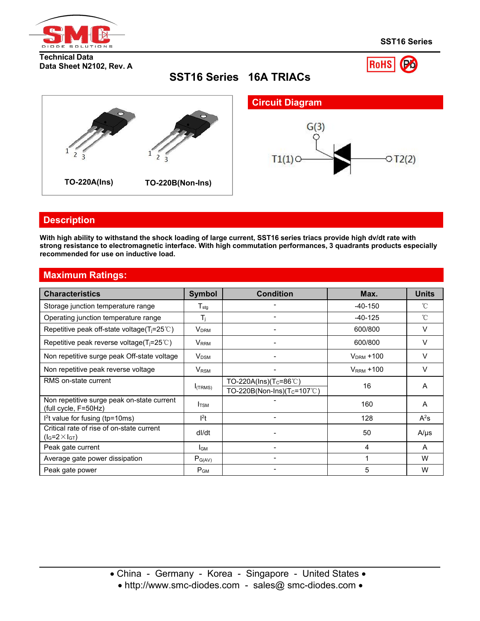

**SST16 Series**

**RoHS** 

#### **Technical Data Data Sheet N2102, Rev. A**

**SST16 Series 16A TRIACs**



# **Description**

With high ability to withstand the shock loading of large current, SST16 series triacs provide high dv/dt rate with **strong resistance to electromagnetic interface. With high commutation performances, 3 quadrants products especially recommended for use on inductive load.**

# **Maximum Ratings:**

| <b>Characteristics</b>                                             | <b>Symbol</b>    | <b>Condition</b>                         | Max.            | <b>Units</b> |
|--------------------------------------------------------------------|------------------|------------------------------------------|-----------------|--------------|
| Storage junction temperature range                                 | $T_{\text{stg}}$ |                                          | $-40-150$       | °C           |
| Operating junction temperature range                               | Tī.              |                                          | $-40-125$       | $^{\circ}C$  |
| Repetitive peak off-state voltage( $T_i = 25^{\circ}$ C)           | Vdrm             |                                          | 600/800         | V            |
| Repetitive peak reverse voltage( $T_i = 25^{\circ}$ C)             | V <sub>RRM</sub> |                                          | 600/800         | V            |
| Non repetitive surge peak Off-state voltage                        | V <sub>DSM</sub> |                                          | $V_{DRM} + 100$ | V            |
| Non repetitive peak reverse voltage                                | V <sub>RSM</sub> |                                          | $V_{RRM} + 100$ | V            |
| RMS on-state current                                               |                  | TO-220A(Ins)(T <sub>C</sub> =86°C)       | 16              |              |
|                                                                    | $I$ (TRMS)       | TO-220B(Non-Ins)( $T_c = 107^{\circ}$ C) |                 | A            |
| Non repetitive surge peak on-state current<br>(full cycle, F=50Hz) | I <sub>TSM</sub> |                                          | 160             | A            |
| $l2t$ value for fusing (tp=10ms)                                   | $l^2t$           |                                          | 128             | $A^2s$       |
| Critical rate of rise of on-state current<br>$(lG=2\times lGT)$    | dl/dt            |                                          | 50              | A/µs         |
| Peak gate current                                                  | I <sub>GM</sub>  |                                          | 4               | A            |
| Average gate power dissipation                                     | $P_{G(AV)}$      |                                          |                 | W            |
| Peak gate power                                                    | $P_{GM}$         |                                          | 5               | W            |

• http://www.smc-diodes.com - sales@ smc-diodes.com •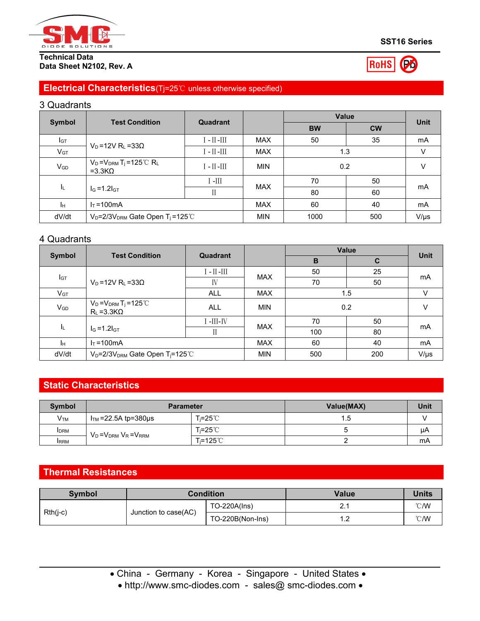

#### **Technical Data Data Sheet N2102, Rev. A**



# **Electrical Characteristics**(Tj=25℃ unless otherwise specified)

# 3 Quadrants

| <b>Test Condition</b>    |                                                         | Quadrant                                     |            | Value     | <b>Unit</b> |           |
|--------------------------|---------------------------------------------------------|----------------------------------------------|------------|-----------|-------------|-----------|
| <b>Symbol</b>            |                                                         |                                              |            | <b>BW</b> | <b>CW</b>   |           |
| Iст                      |                                                         | $\text{I}$ - $\text{II}$ - $\text{III}$      | <b>MAX</b> | 50        | 35          | mA        |
| $V_{GT}$                 | $V_D = 12V R_L = 33\Omega$                              | $\text{II}-\text{III}$                       | <b>MAX</b> | 1.3       |             | V         |
| $V_{GD}$                 | $V_D = V_{DRM} T_j = 125^{\circ}C R_L$<br>$=3.3K\Omega$ | $\mathbb{I}$ - $\mathbb{II}$ - $\mathbb{II}$ | <b>MIN</b> | 0.2       |             | V         |
|                          |                                                         | $\mathbb{H}$ -                               | <b>MAX</b> | 70        | 50          |           |
| ΙL.<br>$I_G = 1.2I_{GT}$ | П                                                       |                                              | 80         | 60        | mA          |           |
| Jн                       | $IT = 100mA$                                            |                                              | <b>MAX</b> | 60        | 40          | mA        |
| dV/dt                    | $V_D = 2/3V_{DRM}$ Gate Open T <sub>j</sub> =125°C      |                                              | <b>MIN</b> | 1000      | 500         | $V/\mu s$ |

#### 4 Quadrants

| Symbol<br><b>Test Condition</b> |                                                                         |                        |            | <b>Value</b> | <b>Unit</b> |           |
|---------------------------------|-------------------------------------------------------------------------|------------------------|------------|--------------|-------------|-----------|
|                                 |                                                                         | Quadrant               |            | B            | C           |           |
|                                 |                                                                         | $\text{II}-\text{III}$ | <b>MAX</b> | 50           | 25          | mA        |
| <b>I</b> GT                     | $V_D = 12V R_L = 33\Omega$                                              | IV                     |            | 70           | 50          |           |
| $V$ gt                          |                                                                         | <b>ALL</b>             | <b>MAX</b> | 1.5          |             | V         |
| $V_{GD}$                        | $V_D = V_{DRM} T_j = 125^{\circ}C$<br><b>ALL</b><br>$R_L = 3.3 K\Omega$ |                        | <b>MIN</b> | 0.2          |             | V         |
|                                 |                                                                         | $I$ -III-IV            | <b>MAX</b> | 70           | 50          |           |
| ΙL.                             | $I_G = 1.2I_{GT}$                                                       |                        |            | 100          | 80          | mA        |
| Iн.                             | $I_T = 100 \text{mA}$                                                   |                        | <b>MAX</b> | 60           | 40          | mA        |
| dV/dt                           | V <sub>D</sub> =2/3V <sub>DRM</sub> Gate Open T <sub>j</sub> =125°C     |                        | <b>MIN</b> | 500          | 200         | $V/\mu s$ |

# **Static Characteristics**

| Symbol          | <b>Parameter</b>              |                     | Value(MAX) | <b>Unit</b> |
|-----------------|-------------------------------|---------------------|------------|-------------|
| V <sub>TM</sub> | $ITM$ =22.5A tp=380µs         | ົi=25℃              | 1.5        |             |
| <b>IDRM</b>     | $V_D = V_{DRM} V_R = V_{RRM}$ | T <sub>i</sub> =25℃ |            | μA          |
| <b>IRRM</b>     |                               | Γ≔125℃              |            | mA          |

# **Thermal Resistances**

| Symbol     |                      | Condition        | <b>Value</b> | <b>Units</b>  |
|------------|----------------------|------------------|--------------|---------------|
|            | Junction to case(AC) | TO-220A(Ins)     |              | $\degree$ C/W |
| $Rth(j-c)$ |                      | TO-220B(Non-Ins) | ے. ا         | $\degree$ C/W |

• http://www.smc-diodes.com - sales@ smc-diodes.com •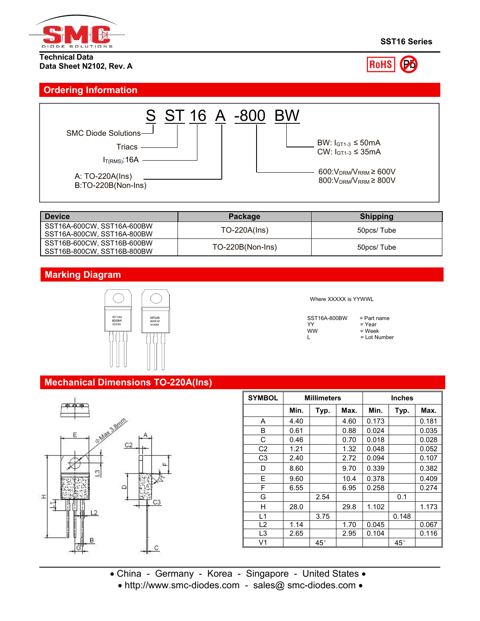

#### **Technical Data Data Sheet N2102, Rev. A**



### **Ordering Information**



| Device                                                   | Package            | <b>Shipping</b> |
|----------------------------------------------------------|--------------------|-----------------|
| SST16A-600CW, SST16A-600BW<br>SST16A-800CW, SST16A-800BW | $TO-220A(Ins)$     | 50pcs/ Tube     |
| SST16B-600CW, SST16B-600BW<br>SST16B-800CW, SST16B-800BW | $TO-220B(Non-Ins)$ | 50pcs/Tube      |

# **Marking Diagram**



#### Where XXXXX is YYWWL

| SST16A-800BW | $=$ Part name  |
|--------------|----------------|
| YY           | $=$ Year       |
| ww           | = Week         |
|              | $=$ Lot Number |

#### **Mechanical Dimensions TO-220A(Ins)**



| <b>SYMBOL</b>  | <b>Millimeters</b> |              |      | <b>Inches</b> |              |       |
|----------------|--------------------|--------------|------|---------------|--------------|-------|
|                | Min.               | Typ.         | Max. | Min.          | Typ.         | Max.  |
| A              | 4.40               |              | 4.60 | 0.173         |              | 0.181 |
| B              | 0.61               |              | 0.88 | 0.024         |              | 0.035 |
| C              | 0.46               |              | 0.70 | 0.018         |              | 0.028 |
| C <sub>2</sub> | 1.21               |              | 1.32 | 0.048         |              | 0.052 |
| C <sub>3</sub> | 2.40               |              | 2.72 | 0.094         |              | 0.107 |
| D              | 8.60               |              | 9.70 | 0.339         |              | 0.382 |
| Е              | 9.60               |              | 10.4 | 0.378         |              | 0.409 |
| F              | 6.55               |              | 6.95 | 0.258         |              | 0.274 |
| G              |                    | 2.54         |      |               | 0.1          |       |
| Н              | 28.0               |              | 29.8 | 1.102         |              | 1.173 |
| L1             |                    | 3.75         |      |               | 0.148        |       |
| L2             | 1.14               |              | 1.70 | 0.045         |              | 0.067 |
| L3             | 2.65               |              | 2.95 | 0.104         |              | 0.116 |
| V1             |                    | $45^{\circ}$ |      |               | $45^{\circ}$ |       |

- China Germany Korea Singapore United States
	- http://www.smc-diodes.com sales@ smc-diodes.com •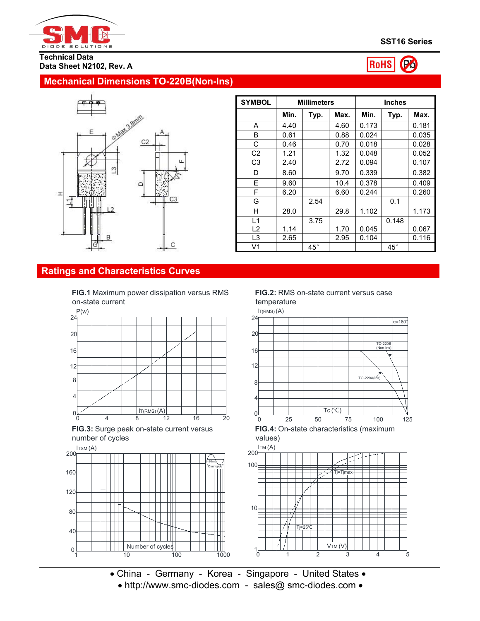



#### **Mechanical Dimensions TO-220B(Non-Ins)**



| <b>SYMBOL</b>  | <b>Millimeters</b> |              |      | <b>Inches</b> |              |       |
|----------------|--------------------|--------------|------|---------------|--------------|-------|
|                | Min.               | Typ.         | Max. | Min.          | Typ.         | Max.  |
| A              | 4.40               |              | 4.60 | 0.173         |              | 0.181 |
| B              | 0.61               |              | 0.88 | 0.024         |              | 0.035 |
| C              | 0.46               |              | 0.70 | 0.018         |              | 0.028 |
| C <sub>2</sub> | 1.21               |              | 1.32 | 0.048         |              | 0.052 |
| C <sub>3</sub> | 2.40               |              | 2.72 | 0.094         |              | 0.107 |
| D              | 8.60               |              | 9.70 | 0.339         |              | 0.382 |
| E              | 9.60               |              | 10.4 | 0.378         |              | 0.409 |
| F              | 6.20               |              | 6.60 | 0.244         |              | 0.260 |
| G              |                    | 2.54         |      |               | 0.1          |       |
| H              | 28.0               |              | 29.8 | 1.102         |              | 1.173 |
| L1             |                    | 3.75         |      |               | 0.148        |       |
| L2             | 1.14               |              | 1.70 | 0.045         |              | 0.067 |
| L <sub>3</sub> | 2.65               |              | 2.95 | 0.104         |              | 0.116 |
| V <sub>1</sub> |                    | $45^{\circ}$ |      |               | $45^{\circ}$ |       |

#### **Ratings and Characteristics Curves**

**FIG.1** Maximum power dissipation versus RMS on-state current



**FIG.3:** Surge peak on-state current versus number of cycles



#### **FIG.2:** RMS on-state current versus case temperature



**FIG.4:** On-state characteristics (maximum values)





• China - Germany - Korea - Singapore - United States • • http://www.smc-diodes.com - sales@ smc-diodes.com •